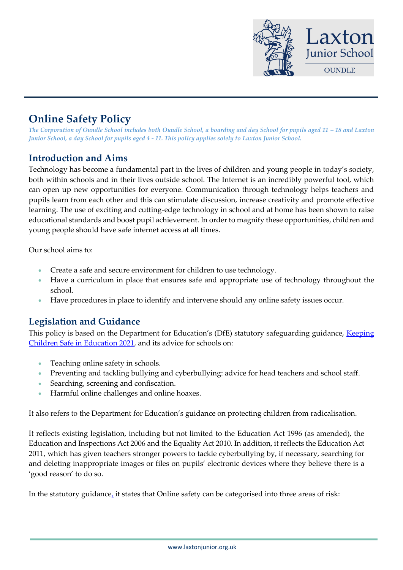

# **Online Safety Policy**

*The Corporation of Oundle School includes both Oundle School, a boarding and day School for pupils aged 11 – 18 and Laxton Junior School, a day School for pupils aged 4 - 11. This policy applies solely to Laxton Junior School.*

# **Introduction and Aims**

Technology has become a fundamental part in the lives of children and young people in today's society, both within schools and in their lives outside school. The Internet is an incredibly powerful tool, which can open up new opportunities for everyone. Communication through technology helps teachers and pupils learn from each other and this can stimulate discussion, increase creativity and promote effective learning. The use of exciting and cutting-edge technology in school and at home has been shown to raise educational standards and boost pupil achievement. In order to magnify these opportunities, children and young people should have safe internet access at all times.

Our school aims to:

- Create a safe and secure environment for children to use technology.
- Have a curriculum in place that ensures safe and appropriate use of technology throughout the school.
- Have procedures in place to identify and intervene should any online safety issues occur.

# **Legislation and Guidance**

This policy is based on the Department for Education's (DfE) statutory safeguarding guidance, [Keeping](https://assets.publishing.service.gov.uk/government/uploads/system/uploads/attachment_data/file/1007260/Keeping_children_safe_in_education_2021.pdf)  [Children Safe in Education 2021,](https://assets.publishing.service.gov.uk/government/uploads/system/uploads/attachment_data/file/1007260/Keeping_children_safe_in_education_2021.pdf) and its advice for schools on:

- Teaching online safety in schools.
- Preventing and tackling bullying and cyberbullying: advice for head teachers and school staff.
- Searching, screening and confiscation.
- Harmful online challenges and online hoaxes.

It also refers to the Department for Education's guidance on protecting children from radicalisation.

It reflects existing legislation, including but not limited to the Education Act 1996 (as amended), the Education and Inspections Act 2006 and the Equality Act 2010. In addition, it reflects the Education Act 2011, which has given teachers stronger powers to tackle cyberbullying by, if necessary, searching for and deleting inappropriate images or files on pupils' electronic devices where they believe there is a 'good reason' to do so.

In the statutory guidanc[e,](https://assets.publishing.service.gov.uk/government/uploads/system/uploads/attachment_data/file/1007260/Keeping_children_safe_in_education_2021.pdf) it states that Online safety can be categorised into three areas of risk: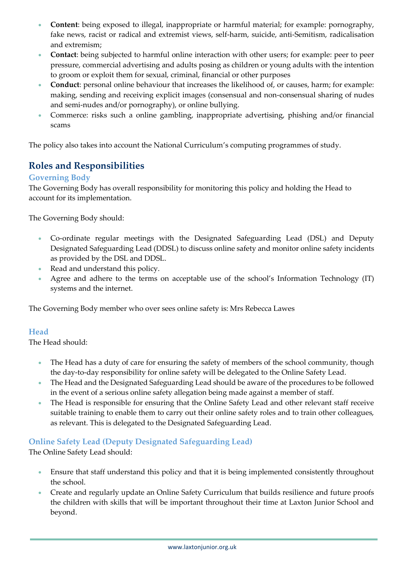- **Content**: being exposed to illegal, inappropriate or harmful material; for example: pornography, fake news, racist or radical and extremist views, self-harm, suicide, anti-Semitism, radicalisation and extremism;
- **Contact**: being subjected to harmful online interaction with other users; for example: peer to peer pressure, commercial advertising and adults posing as children or young adults with the intention to groom or exploit them for sexual, criminal, financial or other purposes
- **Conduct**: personal online behaviour that increases the likelihood of, or causes, harm; for example: making, sending and receiving explicit images (consensual and non-consensual sharing of nudes and semi-nudes and/or pornography), or online bullying.
- Commerce: risks such a online gambling, inappropriate advertising, phishing and/or financial scams

The policy also takes into account the National Curriculum's computing programmes of study.

# **Roles and Responsibilities**

#### **Governing Body**

The Governing Body has overall responsibility for monitoring this policy and holding the Head to account for its implementation.

The Governing Body should:

- Co-ordinate regular meetings with the Designated Safeguarding Lead (DSL) and Deputy Designated Safeguarding Lead (DDSL) to discuss online safety and monitor online safety incidents as provided by the DSL and DDSL.
- Read and understand this policy.
- Agree and adhere to the terms on acceptable use of the school's Information Technology (IT) systems and the internet.

The Governing Body member who over sees online safety is: Mrs Rebecca Lawes

#### **Head**

The Head should:

- The Head has a duty of care for ensuring the safety of members of the school community, though the day-to-day responsibility for online safety will be delegated to the Online Safety Lead.
- The Head and the Designated Safeguarding Lead should be aware of the procedures to be followed in the event of a serious online safety allegation being made against a member of staff.
- The Head is responsible for ensuring that the Online Safety Lead and other relevant staff receive suitable training to enable them to carry out their online safety roles and to train other colleagues, as relevant. This is delegated to the Designated Safeguarding Lead.

#### **Online Safety Lead (Deputy Designated Safeguarding Lead)**

The Online Safety Lead should:

- Ensure that staff understand this policy and that it is being implemented consistently throughout the school.
- Create and regularly update an Online Safety Curriculum that builds resilience and future proofs the children with skills that will be important throughout their time at Laxton Junior School and beyond.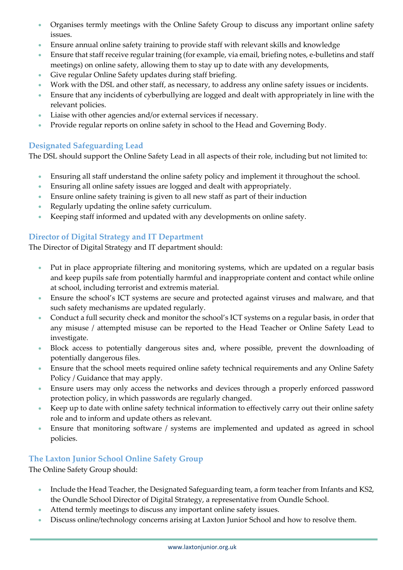- Organises termly meetings with the Online Safety Group to discuss any important online safety issues.
- Ensure annual online safety training to provide staff with relevant skills and knowledge
- Ensure that staff receive regular training (for example, via email, briefing notes, e-bulletins and staff meetings) on online safety, allowing them to stay up to date with any developments,
- Give regular Online Safety updates during staff briefing.
- Work with the DSL and other staff, as necessary, to address any online safety issues or incidents.
- Ensure that any incidents of cyberbullying are logged and dealt with appropriately in line with the relevant policies.
- Liaise with other agencies and/or external services if necessary.
- Provide regular reports on online safety in school to the Head and Governing Body.

#### **Designated Safeguarding Lead**

The DSL should support the Online Safety Lead in all aspects of their role, including but not limited to:

- Ensuring all staff understand the online safety policy and implement it throughout the school.
- Ensuring all online safety issues are logged and dealt with appropriately.
- Ensure online safety training is given to all new staff as part of their induction
- Regularly updating the online safety curriculum.
- Keeping staff informed and updated with any developments on online safety.

#### **Director of Digital Strategy and IT Department**

The Director of Digital Strategy and IT department should:

- Put in place appropriate filtering and monitoring systems, which are updated on a regular basis and keep pupils safe from potentially harmful and inappropriate content and contact while online at school, including terrorist and extremis material.
- Ensure the school's ICT systems are secure and protected against viruses and malware, and that such safety mechanisms are updated regularly.
- Conduct a full security check and monitor the school's ICT systems on a regular basis, in order that any misuse / attempted misuse can be reported to the Head Teacher or Online Safety Lead to investigate.
- Block access to potentially dangerous sites and, where possible, prevent the downloading of potentially dangerous files.
- Ensure that the school meets required online safety technical requirements and any Online Safety Policy / Guidance that may apply.
- Ensure users may only access the networks and devices through a properly enforced password protection policy, in which passwords are regularly changed.
- Keep up to date with online safety technical information to effectively carry out their online safety role and to inform and update others as relevant.
- Ensure that monitoring software / systems are implemented and updated as agreed in school policies.

#### **The Laxton Junior School Online Safety Group**

The Online Safety Group should:

- Include the Head Teacher, the Designated Safeguarding team, a form teacher from Infants and KS2, the Oundle School Director of Digital Strategy, a representative from Oundle School.
- Attend termly meetings to discuss any important online safety issues.
- Discuss online/technology concerns arising at Laxton Junior School and how to resolve them.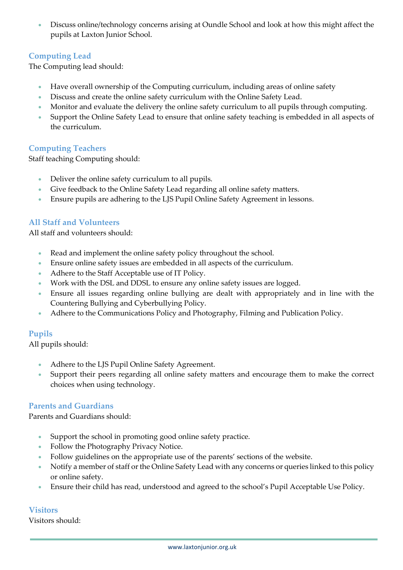• Discuss online/technology concerns arising at Oundle School and look at how this might affect the pupils at Laxton Junior School.

#### **Computing Lead**

The Computing lead should:

- Have overall ownership of the Computing curriculum, including areas of online safety
- Discuss and create the online safety curriculum with the Online Safety Lead.
- Monitor and evaluate the delivery the online safety curriculum to all pupils through computing.
- Support the Online Safety Lead to ensure that online safety teaching is embedded in all aspects of the curriculum.

#### **Computing Teachers**

Staff teaching Computing should:

- Deliver the online safety curriculum to all pupils.
- Give feedback to the Online Safety Lead regarding all online safety matters.
- Ensure pupils are adhering to the LJS Pupil Online Safety Agreement in lessons.

#### **All Staff and Volunteers**

All staff and volunteers should:

- Read and implement the online safety policy throughout the school.
- Ensure online safety issues are embedded in all aspects of the curriculum.
- Adhere to the Staff Acceptable use of IT Policy.
- Work with the DSL and DDSL to ensure any online safety issues are logged.
- Ensure all issues regarding online bullying are dealt with appropriately and in line with the Countering Bullying and Cyberbullying Policy.
- Adhere to the Communications Policy and Photography, Filming and Publication Policy.

#### **Pupils**

All pupils should:

- Adhere to the LJS Pupil Online Safety Agreement.
- Support their peers regarding all online safety matters and encourage them to make the correct choices when using technology.

#### **Parents and Guardians**

Parents and Guardians should:

- Support the school in promoting good online safety practice.
- Follow the Photography Privacy Notice.
- Follow guidelines on the appropriate use of the parents' sections of the website.
- Notify a member of staff or the Online Safety Lead with any concerns or queries linked to this policy or online safety.
- Ensure their child has read, understood and agreed to the school's Pupil Acceptable Use Policy.

#### **Visitors**

Visitors should: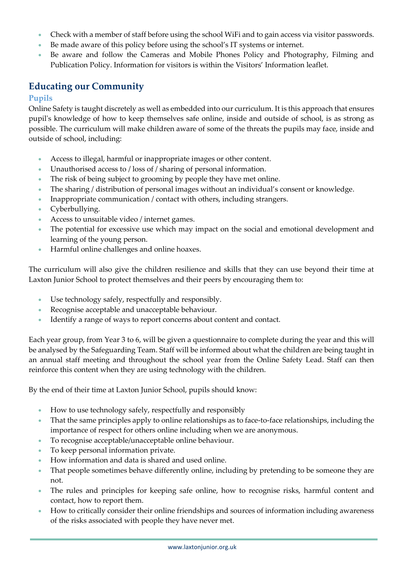- Check with a member of staff before using the school WiFi and to gain access via visitor passwords.
- Be made aware of this policy before using the school's IT systems or internet.
- Be aware and follow the Cameras and Mobile Phones Policy and Photography, Filming and Publication Policy. Information for visitors is within the Visitors' Information leaflet.

# **Educating our Community**

#### **Pupils**

Online Safety is taught discretely as well as embedded into our curriculum. It is this approach that ensures pupil's knowledge of how to keep themselves safe online, inside and outside of school, is as strong as possible. The curriculum will make children aware of some of the threats the pupils may face, inside and outside of school, including:

- Access to illegal, harmful or inappropriate images or other content.
- Unauthorised access to / loss of / sharing of personal information.
- The risk of being subject to grooming by people they have met online.
- The sharing / distribution of personal images without an individual's consent or knowledge.
- Inappropriate communication / contact with others, including strangers.
- Cyberbullying.
- Access to unsuitable video / internet games.
- The potential for excessive use which may impact on the social and emotional development and learning of the young person.
- Harmful online challenges and online hoaxes.

The curriculum will also give the children resilience and skills that they can use beyond their time at Laxton Junior School to protect themselves and their peers by encouraging them to:

- Use technology safely, respectfully and responsibly.
- Recognise acceptable and unacceptable behaviour.
- Identify a range of ways to report concerns about content and contact.

Each year group, from Year 3 to 6, will be given a questionnaire to complete during the year and this will be analysed by the Safeguarding Team. Staff will be informed about what the children are being taught in an annual staff meeting and throughout the school year from the Online Safety Lead. Staff can then reinforce this content when they are using technology with the children.

By the end of their time at Laxton Junior School, pupils should know:

- How to use technology safely, respectfully and responsibly
- That the same principles apply to online relationships as to face-to-face relationships, including the importance of respect for others online including when we are anonymous.
- To recognise acceptable/unacceptable online behaviour.
- To keep personal information private.
- How information and data is shared and used online.
- That people sometimes behave differently online, including by pretending to be someone they are not.
- The rules and principles for keeping safe online, how to recognise risks, harmful content and contact, how to report them.
- How to critically consider their online friendships and sources of information including awareness of the risks associated with people they have never met.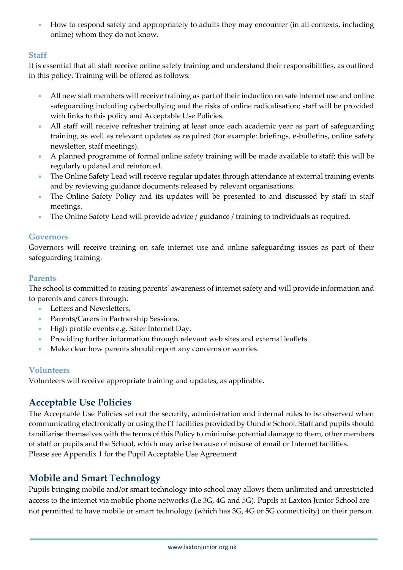• How to respond safely and appropriately to adults they may encounter (in all contexts, including online) whom they do not know.

#### **Staff**

It is essential that all staff receive online safety training and understand their responsibilities, as outlined in this policy. Training will be offered as follows:

- All new staff members will receive training as part of their induction on safe internet use and online safeguarding including cyberbullying and the risks of online radicalisation; staff will be provided with links to this policy and Acceptable Use Policies.
- All staff will receive refresher training at least once each academic year as part of safeguarding training, as well as relevant updates as required (for example: briefings, e-bulletins, online safety newsletter, staff meetings).
- A planned programme of formal online safety training will be made available to staff; this will be regularly updated and reinforced.
- The Online Safety Lead will receive regular updates through attendance at external training events and by reviewing guidance documents released by relevant organisations.
- The Online Safety Policy and its updates will be presented to and discussed by staff in staff meetings.
- The Online Safety Lead will provide advice / guidance / training to individuals as required.

#### **Governors**

Governors will receive training on safe internet use and online safeguarding issues as part of their safeguarding training.

#### **Parents**

The school is committed to raising parents' awareness of internet safety and will provide information and to parents and carers through:

- Letters and Newsletters.
- Parents/Carers in Partnership Sessions.
- High profile events e.g. Safer Internet Day.
- Providing further information through relevant web sites and external leaflets.
- Make clear how parents should report any concerns or worries.

#### **Volunteers**

Volunteers will receive appropriate training and updates, as applicable.

# **Acceptable Use Policies**

The Acceptable Use Policies set out the security, administration and internal rules to be observed when communicating electronically or using the IT facilities provided by Oundle School. Staff and pupils should familiarise themselves with the terms of this Policy to minimise potential damage to them, other members of staff or pupils and the School, which may arise because of misuse of email or Internet facilities. Please see Appendix 1 for the Pupil Acceptable Use Agreement

# **Mobile and Smart Technology**

Pupils bringing mobile and/or smart technology into school may allows them unlimited and unrestricted access to the internet via mobile phone networks (I.e 3G, 4G and 5G). Pupils at Laxton Junior School are not permitted to have mobile or smart technology (which has 3G, 4G or 5G connectivity) on their person.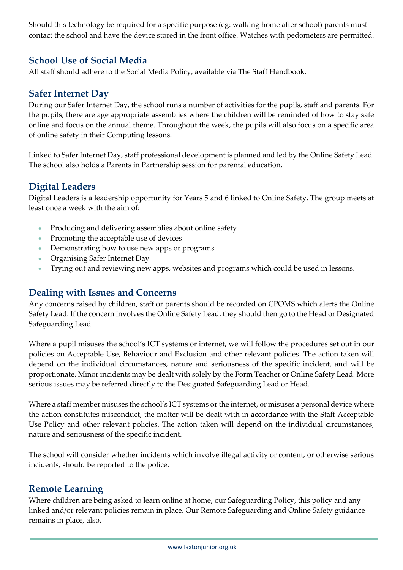Should this technology be required for a specific purpose (eg: walking home after school) parents must contact the school and have the device stored in the front office. Watches with pedometers are permitted.

# **School Use of Social Media**

All staff should adhere to the Social Media Policy, available via The Staff Handbook.

# **Safer Internet Day**

During our Safer Internet Day, the school runs a number of activities for the pupils, staff and parents. For the pupils, there are age appropriate assemblies where the children will be reminded of how to stay safe online and focus on the annual theme. Throughout the week, the pupils will also focus on a specific area of online safety in their Computing lessons.

Linked to Safer Internet Day, staff professional development is planned and led by the Online Safety Lead. The school also holds a Parents in Partnership session for parental education.

# **Digital Leaders**

Digital Leaders is a leadership opportunity for Years 5 and 6 linked to Online Safety. The group meets at least once a week with the aim of:

- Producing and delivering assemblies about online safety
- Promoting the acceptable use of devices
- Demonstrating how to use new apps or programs
- Organising Safer Internet Day
- Trying out and reviewing new apps, websites and programs which could be used in lessons.

# **Dealing with Issues and Concerns**

Any concerns raised by children, staff or parents should be recorded on CPOMS which alerts the Online Safety Lead. If the concern involves the Online Safety Lead, they should then go to the Head or Designated Safeguarding Lead.

Where a pupil misuses the school's ICT systems or internet, we will follow the procedures set out in our policies on Acceptable Use, Behaviour and Exclusion and other relevant policies. The action taken will depend on the individual circumstances, nature and seriousness of the specific incident, and will be proportionate. Minor incidents may be dealt with solely by the Form Teacher or Online Safety Lead. More serious issues may be referred directly to the Designated Safeguarding Lead or Head.

Where a staff member misuses the school's ICT systems or the internet, or misuses a personal device where the action constitutes misconduct, the matter will be dealt with in accordance with the Staff Acceptable Use Policy and other relevant policies. The action taken will depend on the individual circumstances, nature and seriousness of the specific incident.

The school will consider whether incidents which involve illegal activity or content, or otherwise serious incidents, should be reported to the police.

# **Remote Learning**

Where children are being asked to learn online at home, our Safeguarding Policy, this policy and any linked and/or relevant policies remain in place. Our [Remote Safeguarding and Online Safety](https://www.oundleschool.org.uk/laxton-junior-school/wp-content/uploads/sites/2/2021/02/Our-Guide-to-Remote-Safeguarding-and-Online-Safety.pdf) guidance remains in place, also.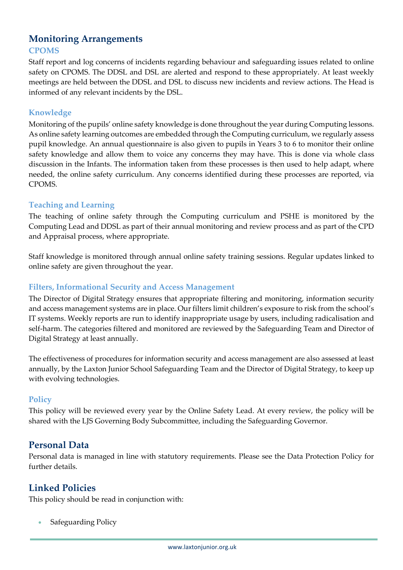## **Monitoring Arrangements CPOMS**

Staff report and log concerns of incidents regarding behaviour and safeguarding issues related to online safety on CPOMS. The DDSL and DSL are alerted and respond to these appropriately. At least weekly meetings are held between the DDSL and DSL to discuss new incidents and review actions. The Head is informed of any relevant incidents by the DSL.

#### **Knowledge**

Monitoring of the pupils' online safety knowledge is done throughout the year during Computing lessons. As online safety learning outcomes are embedded through the Computing curriculum, we regularly assess pupil knowledge. An annual questionnaire is also given to pupils in Years 3 to 6 to monitor their online safety knowledge and allow them to voice any concerns they may have. This is done via whole class discussion in the Infants. The information taken from these processes is then used to help adapt, where needed, the online safety curriculum. Any concerns identified during these processes are reported, via CPOMS.

#### **Teaching and Learning**

The teaching of online safety through the Computing curriculum and PSHE is monitored by the Computing Lead and DDSL as part of their annual monitoring and review process and as part of the CPD and Appraisal process, where appropriate.

Staff knowledge is monitored through annual online safety training sessions. Regular updates linked to online safety are given throughout the year.

#### **Filters, Informational Security and Access Management**

The Director of Digital Strategy ensures that appropriate filtering and monitoring, information security and access management systems are in place. Our filters limit children's exposure to risk from the school's IT systems. Weekly reports are run to identify inappropriate usage by users, including radicalisation and self-harm. The categories filtered and monitored are reviewed by the Safeguarding Team and Director of Digital Strategy at least annually.

The effectiveness of procedures for information security and access management are also assessed at least annually, by the Laxton Junior School Safeguarding Team and the Director of Digital Strategy, to keep up with evolving technologies.

#### **Policy**

This policy will be reviewed every year by the Online Safety Lead. At every review, the policy will be shared with the LJS Governing Body Subcommittee, including the Safeguarding Governor.

# **Personal Data**

Personal data is managed in line with statutory requirements. Please see the Data Protection Policy for further details.

# **Linked Policies**

This policy should be read in conjunction with:

Safeguarding Policy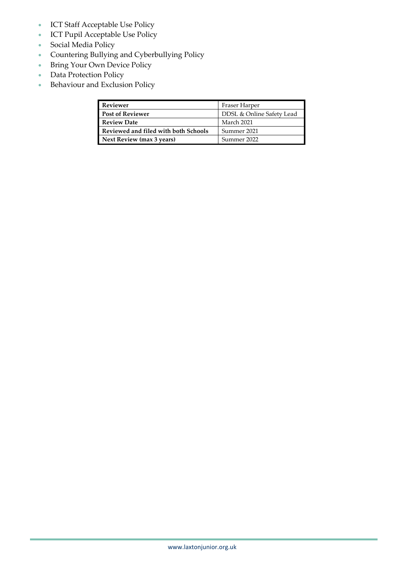- ICT Staff Acceptable Use Policy
- ICT Pupil Acceptable Use Policy
- Social Media Policy
- Countering Bullying and Cyberbullying Policy
- Bring Your Own Device Policy
- Data Protection Policy
- Behaviour and Exclusion Policy

| <b>Reviewer</b>                      | Fraser Harper             |
|--------------------------------------|---------------------------|
| <b>Post of Reviewer</b>              | DDSL & Online Safety Lead |
| <b>Review Date</b>                   | March 2021                |
| Reviewed and filed with both Schools | Summer 2021               |
| Next Review (max 3 years)            | Summer 2022               |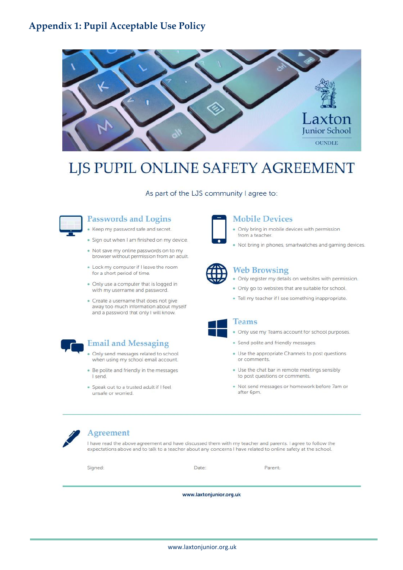# **Appendix 1: Pupil Acceptable Use Policy**



# LJS PUPIL ONLINE SAFETY AGREEMENT

As part of the LJS community I agree to:



#### **Passwords and Logins**

- Keep my password safe and secret.
- · Sign out when I am finished on my device.
- . Not save my online passwords on to my browser without permission from an adult.
- . Lock my computer if I leave the room for a short period of time.
- . Only use a computer that is logged in with my username and password.
- · Create a username that does not give away too much information about myself and a password that only I will know.



#### **Email and Messaging**

- Only send messages related to school when using my school email account.
- . Be polite and friendly in the messages I send
- · Speak out to a trusted adult if I feel unsafe or worried.



#### **Mobile Devices**

- . Only bring in mobile devices with permission from a teacher.
- . Not bring in phones, smartwatches and gaming devices.



#### **Web Browsing**

- . Only register my details on websites with permission.
- . Only go to websites that are suitable for school.
- · Tell my teacher if I see something inappropriate.



#### **Teams**

#### . Only use my Teams account for school purposes.

- · Send polite and friendly messages.
- · Use the appropriate Channels to post questions or comments.
- . Use the chat bar in remote meetings sensibly to post questions or comments.
- . Not send messages or homework before 7am or after 6pm.



#### Agreement

I have read the above agreement and have discussed them with my teacher and parents. I agree to follow the expectations above and to talk to a teacher about any concerns I have related to online safety at the school.

Signed:

Date:

Parent:

www.laxtonjunior.org.uk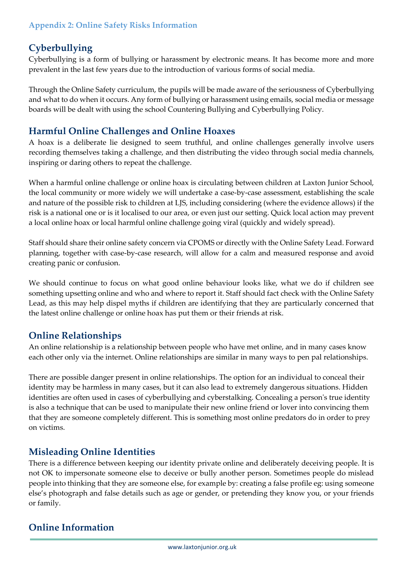## **Appendix 2: Online Safety Risks Information**

# **Cyberbullying**

Cyberbullying is a form of bullying or harassment by electronic means. It has become more and more prevalent in the last few years due to the introduction of various forms of social media.

Through the Online Safety curriculum, the pupils will be made aware of the seriousness of Cyberbullying and what to do when it occurs. Any form of bullying or harassment using emails, social media or message boards will be dealt with using the school Countering Bullying and Cyberbullying Policy.

# **Harmful Online Challenges and Online Hoaxes**

A hoax is a deliberate lie designed to seem truthful, and online challenges generally involve users recording themselves taking a challenge, and then distributing the video through social media channels, inspiring or daring others to repeat the challenge.

When a harmful online challenge or online hoax is circulating between children at Laxton Junior School, the local community or more widely we will undertake a case-by-case assessment, establishing the scale and nature of the possible risk to children at LJS, including considering (where the evidence allows) if the risk is a national one or is it localised to our area, or even just our setting. Quick local action may prevent a local online hoax or local harmful online challenge going viral (quickly and widely spread).

Staff should share their online safety concern via CPOMS or directly with the Online Safety Lead. Forward planning, together with case-by-case research, will allow for a calm and measured response and avoid creating panic or confusion.

We should continue to focus on what good online behaviour looks like, what we do if children see something upsetting online and who and where to report it. Staff should fact check with the Online Safety Lead, as this may help dispel myths if children are identifying that they are particularly concerned that the latest online challenge or online hoax has put them or their friends at risk.

# **Online Relationships**

An online relationship is a relationship between people who have met online, and in many cases know each other only via the internet. Online relationships are similar in many ways to pen pal relationships.

There are possible danger present in online relationships. The option for an individual to conceal their identity may be harmless in many cases, but it can also lead to extremely dangerous situations. Hidden identities are often used in cases of cyberbullying and cyberstalking. Concealing a person's true identity is also a technique that can be used to manipulate their new online friend or lover into convincing them that they are someone completely different. This is something most online predators do in order to prey on victims.

# **Misleading Online Identities**

There is a difference between keeping our identity private online and deliberately deceiving people. It is not OK to impersonate someone else to deceive or bully another person. Sometimes people do mislead people into thinking that they are someone else, for example by: creating a false profile eg: using someone else's photograph and false details such as age or gender, or pretending they know you, or your friends or family.

# **Online Information**